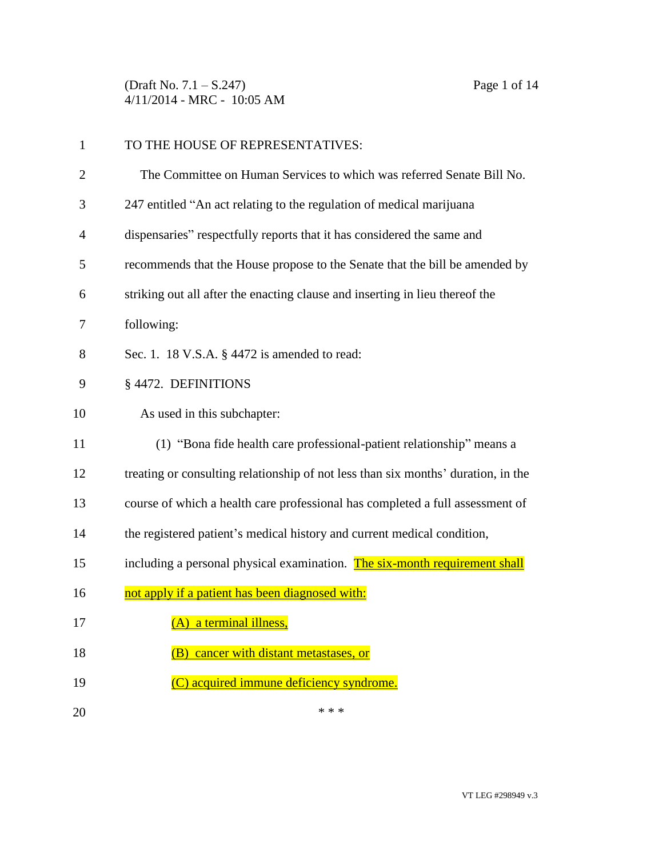(Draft No. 7.1 – S.247) Page 1 of 14 4/11/2014 - MRC - 10:05 AM

| $\mathbf{1}$   | TO THE HOUSE OF REPRESENTATIVES:                                                  |
|----------------|-----------------------------------------------------------------------------------|
| $\overline{c}$ | The Committee on Human Services to which was referred Senate Bill No.             |
| 3              | 247 entitled "An act relating to the regulation of medical marijuana              |
| 4              | dispensaries" respectfully reports that it has considered the same and            |
| 5              | recommends that the House propose to the Senate that the bill be amended by       |
| 6              | striking out all after the enacting clause and inserting in lieu thereof the      |
| 7              | following:                                                                        |
| 8              | Sec. 1. 18 V.S.A. § 4472 is amended to read:                                      |
| 9              | § 4472. DEFINITIONS                                                               |
| 10             | As used in this subchapter:                                                       |
| 11             | (1) "Bona fide health care professional-patient relationship" means a             |
| 12             | treating or consulting relationship of not less than six months' duration, in the |
| 13             | course of which a health care professional has completed a full assessment of     |
| 14             | the registered patient's medical history and current medical condition,           |
| 15             | including a personal physical examination. The six-month requirement shall        |
| 16             | not apply if a patient has been diagnosed with:                                   |
| 17             | (A) a terminal illness,                                                           |
| 18             | (B) cancer with distant metastases, or                                            |
| 19             | (C) acquired immune deficiency syndrome.                                          |
| 20             | * * *                                                                             |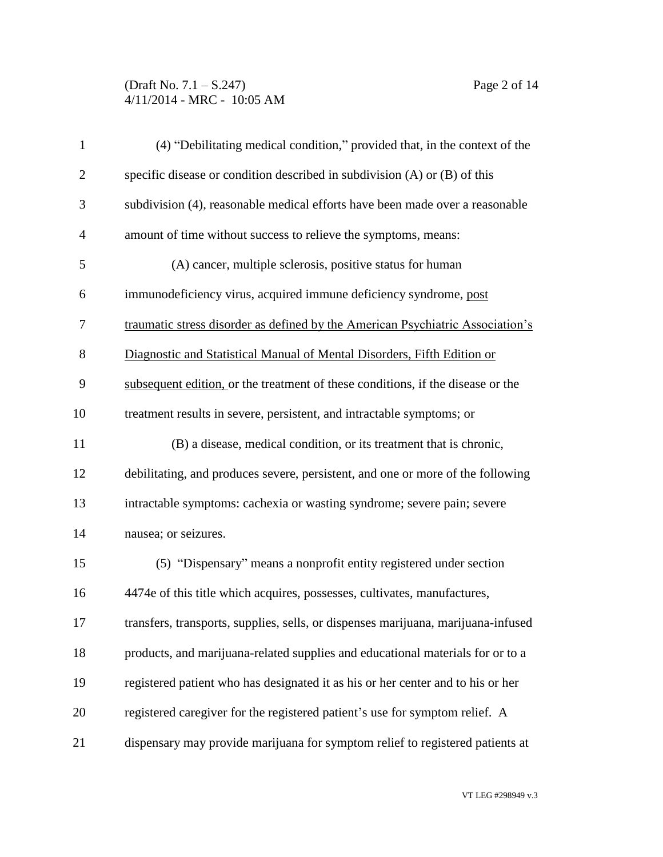(Draft No. 7.1 – S.247) Page 2 of 14 4/11/2014 - MRC - 10:05 AM

| $\mathbf{1}$   | (4) "Debilitating medical condition," provided that, in the context of the        |
|----------------|-----------------------------------------------------------------------------------|
| $\overline{2}$ | specific disease or condition described in subdivision (A) or (B) of this         |
| 3              | subdivision (4), reasonable medical efforts have been made over a reasonable      |
| $\overline{4}$ | amount of time without success to relieve the symptoms, means:                    |
| 5              | (A) cancer, multiple sclerosis, positive status for human                         |
| 6              | immunodeficiency virus, acquired immune deficiency syndrome, post                 |
| 7              | traumatic stress disorder as defined by the American Psychiatric Association's    |
| $8\,$          | Diagnostic and Statistical Manual of Mental Disorders, Fifth Edition or           |
| 9              | subsequent edition, or the treatment of these conditions, if the disease or the   |
| 10             | treatment results in severe, persistent, and intractable symptoms; or             |
| 11             | (B) a disease, medical condition, or its treatment that is chronic,               |
| 12             | debilitating, and produces severe, persistent, and one or more of the following   |
| 13             | intractable symptoms: cachexia or wasting syndrome; severe pain; severe           |
| 14             | nausea; or seizures.                                                              |
| 15             | (5) "Dispensary" means a nonprofit entity registered under section                |
| 16             | 4474e of this title which acquires, possesses, cultivates, manufactures,          |
| 17             | transfers, transports, supplies, sells, or dispenses marijuana, marijuana-infused |
| 18             | products, and marijuana-related supplies and educational materials for or to a    |
| 19             | registered patient who has designated it as his or her center and to his or her   |
| 20             | registered caregiver for the registered patient's use for symptom relief. A       |
| 21             | dispensary may provide marijuana for symptom relief to registered patients at     |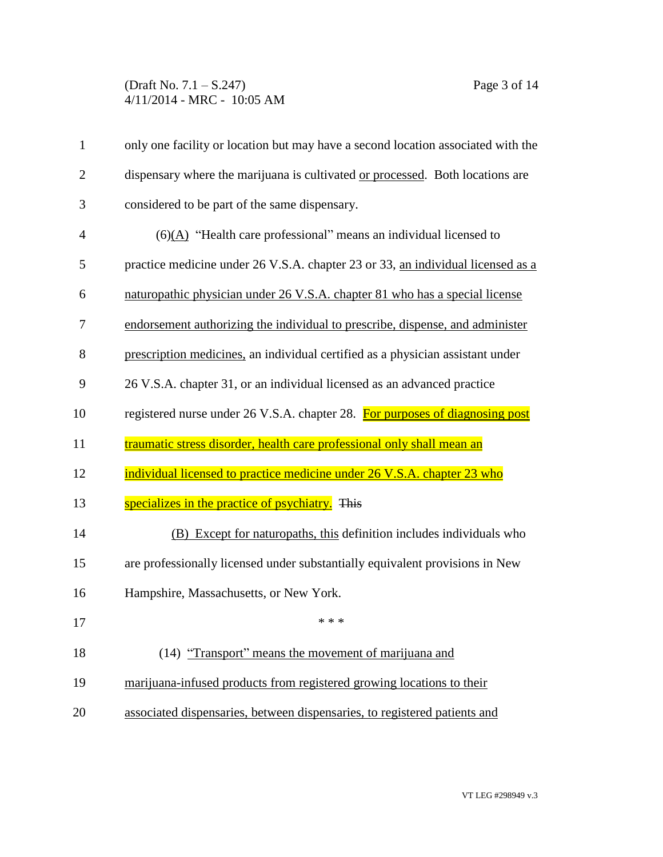## (Draft No. 7.1 – S.247) Page 3 of 14 4/11/2014 - MRC - 10:05 AM

| $\mathbf{1}$   | only one facility or location but may have a second location associated with the |
|----------------|----------------------------------------------------------------------------------|
| $\overline{2}$ | dispensary where the marijuana is cultivated or processed. Both locations are    |
| 3              | considered to be part of the same dispensary.                                    |
| $\overline{4}$ | $(6)(A)$ "Health care professional" means an individual licensed to              |
| 5              | practice medicine under 26 V.S.A. chapter 23 or 33, an individual licensed as a  |
| 6              | naturopathic physician under 26 V.S.A. chapter 81 who has a special license      |
| 7              | endorsement authorizing the individual to prescribe, dispense, and administer    |
| 8              | prescription medicines, an individual certified as a physician assistant under   |
| 9              | 26 V.S.A. chapter 31, or an individual licensed as an advanced practice          |
| 10             | registered nurse under 26 V.S.A. chapter 28. For purposes of diagnosing post     |
| 11             | traumatic stress disorder, health care professional only shall mean an           |
| 12             | individual licensed to practice medicine under 26 V.S.A. chapter 23 who          |
| 13             | specializes in the practice of psychiatry. This                                  |
| 14             | (B) Except for naturopaths, this definition includes individuals who             |
| 15             | are professionally licensed under substantially equivalent provisions in New     |
| 16             | Hampshire, Massachusetts, or New York.                                           |
| 17             | * * *                                                                            |
| 18             | (14) "Transport" means the movement of marijuana and                             |
| 19             | marijuana-infused products from registered growing locations to their            |
| 20             | associated dispensaries, between dispensaries, to registered patients and        |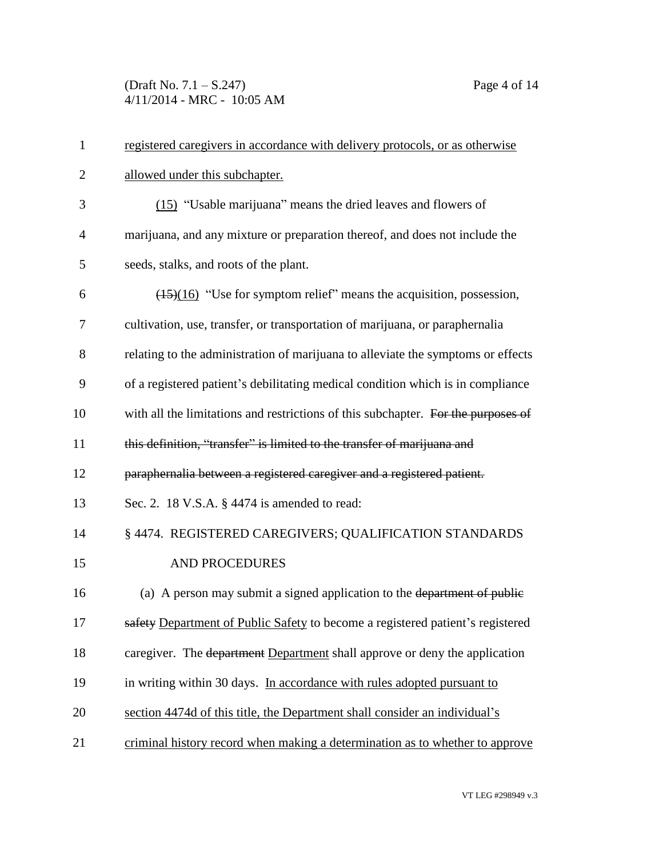(Draft No. 7.1 – S.247) Page 4 of 14 4/11/2014 - MRC - 10:05 AM

| $\mathbf{1}$   | registered caregivers in accordance with delivery protocols, or as otherwise      |
|----------------|-----------------------------------------------------------------------------------|
| $\overline{2}$ | allowed under this subchapter.                                                    |
| 3              | (15) "Usable marijuana" means the dried leaves and flowers of                     |
| $\overline{4}$ | marijuana, and any mixture or preparation thereof, and does not include the       |
| 5              | seeds, stalks, and roots of the plant.                                            |
| 6              | $(15)(16)$ "Use for symptom relief" means the acquisition, possession,            |
| 7              | cultivation, use, transfer, or transportation of marijuana, or paraphernalia      |
| 8              | relating to the administration of marijuana to alleviate the symptoms or effects  |
| 9              | of a registered patient's debilitating medical condition which is in compliance   |
| 10             | with all the limitations and restrictions of this subchapter. For the purposes of |
| 11             | this definition, "transfer" is limited to the transfer of marijuana and           |
| 12             | paraphernalia between a registered caregiver and a registered patient.            |
| 13             | Sec. 2. 18 V.S.A. § 4474 is amended to read:                                      |
| 14             | § 4474. REGISTERED CAREGIVERS; QUALIFICATION STANDARDS                            |
| 15             | <b>AND PROCEDURES</b>                                                             |
| 16             | (a) A person may submit a signed application to the department of public          |
| 17             | safety Department of Public Safety to become a registered patient's registered    |
| 18             | caregiver. The department Department shall approve or deny the application        |
| 19             | in writing within 30 days. In accordance with rules adopted pursuant to           |
| 20             | section 4474d of this title, the Department shall consider an individual's        |
| 21             | criminal history record when making a determination as to whether to approve      |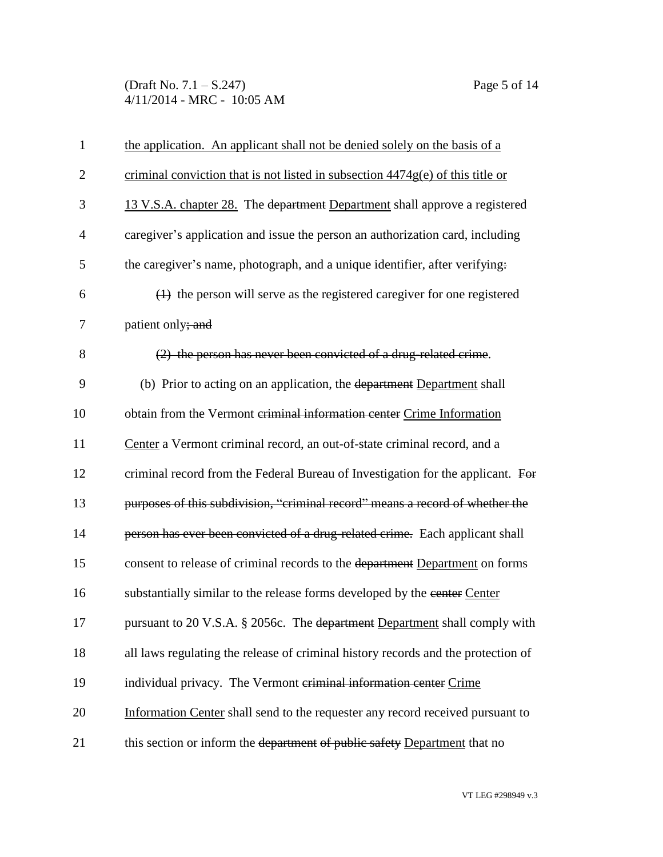(Draft No. 7.1 – S.247) Page 5 of 14 4/11/2014 - MRC - 10:05 AM

| $\mathbf{1}$   | the application. An applicant shall not be denied solely on the basis of a        |
|----------------|-----------------------------------------------------------------------------------|
| $\overline{2}$ | criminal conviction that is not listed in subsection $4474g(e)$ of this title or  |
| 3              | 13 V.S.A. chapter 28. The department Department shall approve a registered        |
| $\overline{4}$ | caregiver's application and issue the person an authorization card, including     |
| 5              | the caregiver's name, photograph, and a unique identifier, after verifying.       |
| 6              | $(1)$ the person will serve as the registered caregiver for one registered        |
| 7              | patient only; and                                                                 |
| 8              | (2) the person has never been convicted of a drug-related crime.                  |
| 9              | (b) Prior to acting on an application, the department Department shall            |
| 10             | obtain from the Vermont criminal information center Crime Information             |
| 11             | Center a Vermont criminal record, an out-of-state criminal record, and a          |
| 12             | criminal record from the Federal Bureau of Investigation for the applicant. For   |
| 13             | purposes of this subdivision, "criminal record" means a record of whether the     |
| 14             | person has ever been convicted of a drug-related crime. Each applicant shall      |
| 15             | consent to release of criminal records to the department Department on forms      |
| 16             | substantially similar to the release forms developed by the center Center         |
| 17             | pursuant to 20 V.S.A. § 2056c. The department Department shall comply with        |
| 18             | all laws regulating the release of criminal history records and the protection of |
| 19             | individual privacy. The Vermont criminal information center Crime                 |
| 20             | Information Center shall send to the requester any record received pursuant to    |
| 21             | this section or inform the department of public safety Department that no         |
|                |                                                                                   |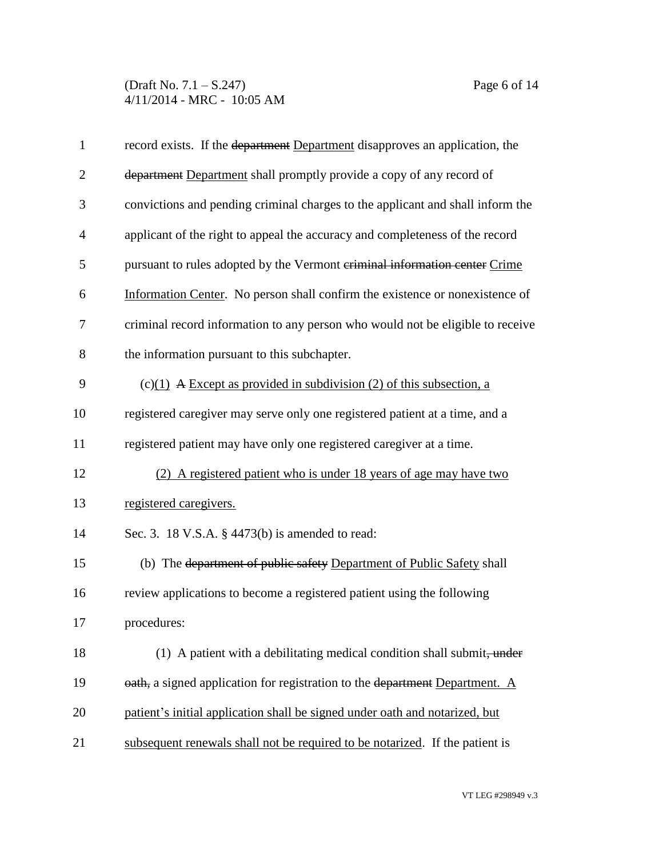(Draft No. 7.1 – S.247) Page 6 of 14 4/11/2014 - MRC - 10:05 AM

| $\mathbf{1}$   | record exists. If the department Department disapproves an application, the    |
|----------------|--------------------------------------------------------------------------------|
| $\overline{2}$ | department Department shall promptly provide a copy of any record of           |
| 3              | convictions and pending criminal charges to the applicant and shall inform the |
| $\overline{4}$ | applicant of the right to appeal the accuracy and completeness of the record   |
| 5              | pursuant to rules adopted by the Vermont criminal information center Crime     |
| 6              | Information Center. No person shall confirm the existence or nonexistence of   |
| 7              | criminal record information to any person who would not be eligible to receive |
| 8              | the information pursuant to this subchapter.                                   |
| 9              | $(c)(1)$ A Except as provided in subdivision (2) of this subsection, a         |
| 10             | registered caregiver may serve only one registered patient at a time, and a    |
| 11             | registered patient may have only one registered caregiver at a time.           |
| 12             | (2) A registered patient who is under 18 years of age may have two             |
| 13             | registered caregivers.                                                         |
| 14             | Sec. 3. 18 V.S.A. § 4473(b) is amended to read:                                |
| 15             | (b) The department of public safety Department of Public Safety shall          |
| 16             | review applications to become a registered patient using the following         |
| 17             | procedures:                                                                    |
| 18             | (1) A patient with a debilitating medical condition shall submit, under        |
| 19             | oath, a signed application for registration to the department Department. A    |
| 20             | patient's initial application shall be signed under oath and notarized, but    |
| 21             | subsequent renewals shall not be required to be notarized. If the patient is   |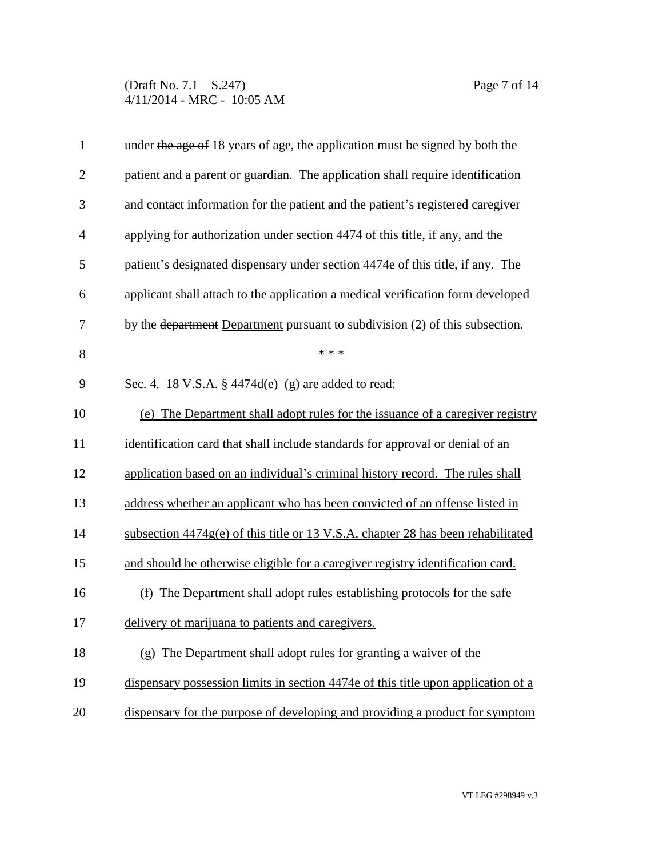(Draft No. 7.1 – S.247) Page 7 of 14 4/11/2014 - MRC - 10:05 AM

| $\mathbf{1}$   | under the age of 18 years of age, the application must be signed by both the            |
|----------------|-----------------------------------------------------------------------------------------|
| $\overline{2}$ | patient and a parent or guardian. The application shall require identification          |
| 3              | and contact information for the patient and the patient's registered caregiver          |
| $\overline{4}$ | applying for authorization under section 4474 of this title, if any, and the            |
| 5              | patient's designated dispensary under section 4474e of this title, if any. The          |
| 6              | applicant shall attach to the application a medical verification form developed         |
| 7              | by the <del>department</del> Department pursuant to subdivision (2) of this subsection. |
| 8              | * * *                                                                                   |
| 9              | Sec. 4. 18 V.S.A. § $4474d(e)$ –(g) are added to read:                                  |
| 10             | (e) The Department shall adopt rules for the issuance of a caregiver registry           |
| 11             | identification card that shall include standards for approval or denial of an           |
| 12             | application based on an individual's criminal history record. The rules shall           |
| 13             | address whether an applicant who has been convicted of an offense listed in             |
| 14             | subsection $4474g(e)$ of this title or 13 V.S.A. chapter 28 has been rehabilitated      |
| 15             | and should be otherwise eligible for a caregiver registry identification card.          |
| 16             | The Department shall adopt rules establishing protocols for the safe<br>(f)             |
| 17             | delivery of marijuana to patients and caregivers.                                       |
| 18             | (g) The Department shall adopt rules for granting a waiver of the                       |
| 19             | dispensary possession limits in section 4474e of this title upon application of a       |
| 20             | dispensary for the purpose of developing and providing a product for symptom            |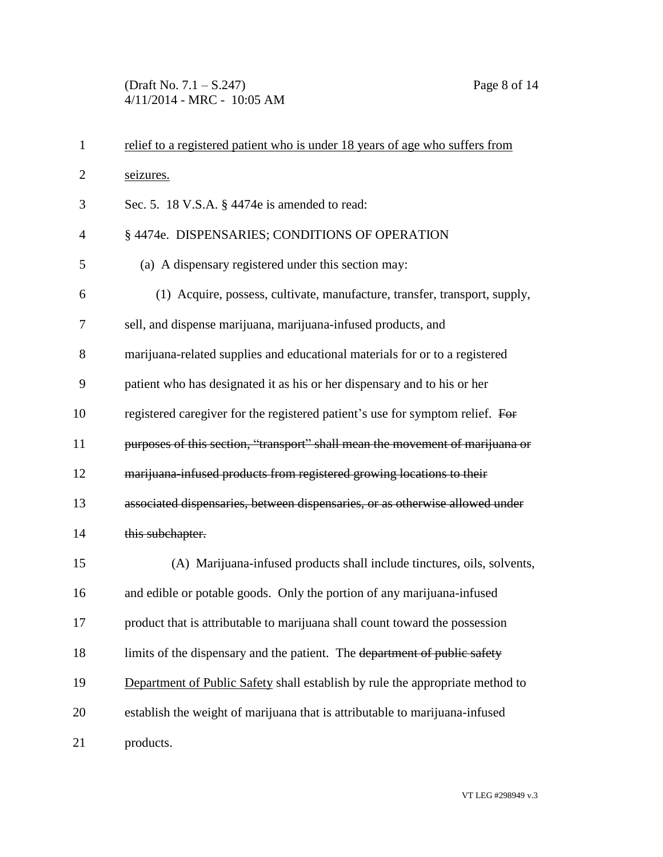(Draft No. 7.1 – S.247) Page 8 of 14 4/11/2014 - MRC - 10:05 AM

| $\mathbf{1}$   | relief to a registered patient who is under 18 years of age who suffers from  |
|----------------|-------------------------------------------------------------------------------|
| $\overline{2}$ | seizures.                                                                     |
| 3              | Sec. 5. 18 V.S.A. § 4474e is amended to read:                                 |
| $\overline{4}$ | § 4474e. DISPENSARIES; CONDITIONS OF OPERATION                                |
| 5              | (a) A dispensary registered under this section may:                           |
| 6              | (1) Acquire, possess, cultivate, manufacture, transfer, transport, supply,    |
| 7              | sell, and dispense marijuana, marijuana-infused products, and                 |
| 8              | marijuana-related supplies and educational materials for or to a registered   |
| 9              | patient who has designated it as his or her dispensary and to his or her      |
| 10             | registered caregiver for the registered patient's use for symptom relief. For |
| 11             | purposes of this section, "transport" shall mean the movement of marijuana or |
| 12             | marijuana-infused products from registered growing locations to their         |
| 13             | associated dispensaries, between dispensaries, or as otherwise allowed under  |
| 14             | this subchapter.                                                              |
| 15             | (A) Marijuana-infused products shall include tinctures, oils, solvents,       |
| 16             | and edible or potable goods. Only the portion of any marijuana-infused        |
| 17             | product that is attributable to marijuana shall count toward the possession   |
| 18             | limits of the dispensary and the patient. The department of public safety     |
| 19             | Department of Public Safety shall establish by rule the appropriate method to |
| 20             | establish the weight of marijuana that is attributable to marijuana-infused   |
| 21             | products.                                                                     |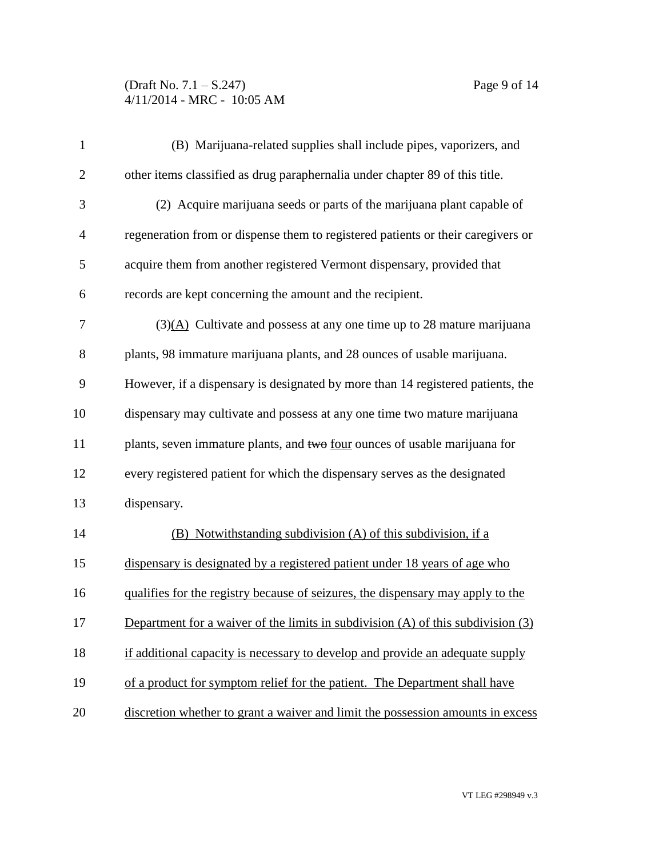## (Draft No. 7.1 – S.247) Page 9 of 14 4/11/2014 - MRC - 10:05 AM

| $\mathbf{1}$   | (B) Marijuana-related supplies shall include pipes, vaporizers, and                  |
|----------------|--------------------------------------------------------------------------------------|
| $\overline{2}$ | other items classified as drug paraphernalia under chapter 89 of this title.         |
| 3              | (2) Acquire marijuana seeds or parts of the marijuana plant capable of               |
| $\overline{4}$ | regeneration from or dispense them to registered patients or their caregivers or     |
| 5              | acquire them from another registered Vermont dispensary, provided that               |
| 6              | records are kept concerning the amount and the recipient.                            |
| 7              | $(3)(\underline{A})$ Cultivate and possess at any one time up to 28 mature marijuana |
| $8\,$          | plants, 98 immature marijuana plants, and 28 ounces of usable marijuana.             |
| 9              | However, if a dispensary is designated by more than 14 registered patients, the      |
| 10             | dispensary may cultivate and possess at any one time two mature marijuana            |
| 11             | plants, seven immature plants, and two <u>four</u> ounces of usable marijuana for    |
| 12             | every registered patient for which the dispensary serves as the designated           |
| 13             | dispensary.                                                                          |
| 14             | (B) Notwithstanding subdivision (A) of this subdivision, if a                        |
| 15             | dispensary is designated by a registered patient under 18 years of age who           |
| 16             | qualifies for the registry because of seizures, the dispensary may apply to the      |
| 17             | Department for a waiver of the limits in subdivision $(A)$ of this subdivision $(3)$ |
| 18             | if additional capacity is necessary to develop and provide an adequate supply        |
| 19             | of a product for symptom relief for the patient. The Department shall have           |
| 20             | discretion whether to grant a waiver and limit the possession amounts in excess      |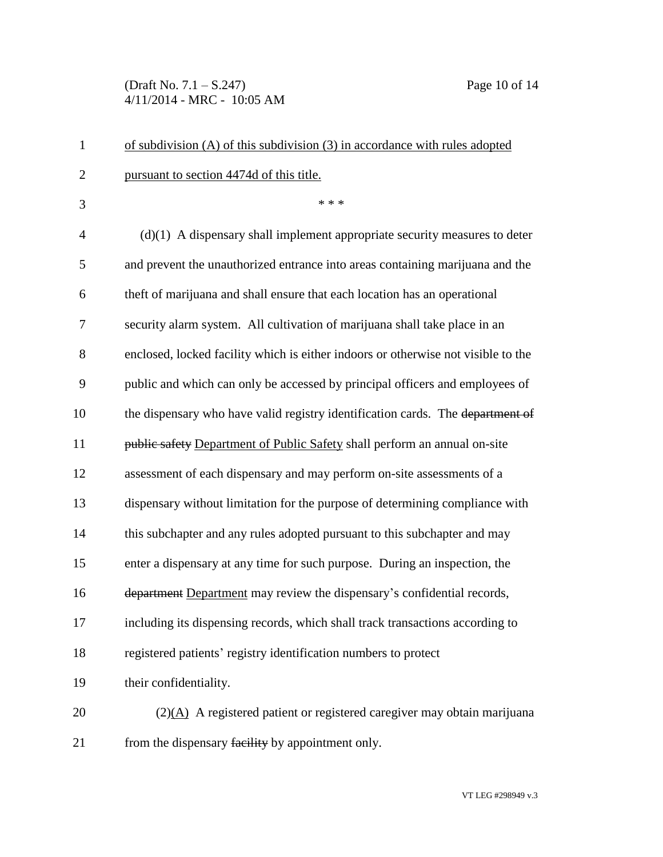(Draft No. 7.1 – S.247) Page 10 of 14 4/11/2014 - MRC - 10:05 AM

| $\mathbf{1}$   | of subdivision $(A)$ of this subdivision $(3)$ in accordance with rules adopted        |
|----------------|----------------------------------------------------------------------------------------|
| $\overline{2}$ | pursuant to section 4474d of this title.                                               |
| 3              | * * *                                                                                  |
| 4              | $(d)(1)$ A dispensary shall implement appropriate security measures to deter           |
| 5              | and prevent the unauthorized entrance into areas containing marijuana and the          |
| 6              | theft of marijuana and shall ensure that each location has an operational              |
| 7              | security alarm system. All cultivation of marijuana shall take place in an             |
| 8              | enclosed, locked facility which is either indoors or otherwise not visible to the      |
| 9              | public and which can only be accessed by principal officers and employees of           |
| 10             | the dispensary who have valid registry identification cards. The department of         |
| 11             | public safety Department of Public Safety shall perform an annual on-site              |
| 12             | assessment of each dispensary and may perform on-site assessments of a                 |
| 13             | dispensary without limitation for the purpose of determining compliance with           |
| 14             | this subchapter and any rules adopted pursuant to this subchapter and may              |
| 15             | enter a dispensary at any time for such purpose. During an inspection, the             |
| 16             | department Department may review the dispensary's confidential records,                |
| 17             | including its dispensing records, which shall track transactions according to          |
| 18             | registered patients' registry identification numbers to protect                        |
| 19             | their confidentiality.                                                                 |
| 20             | $(2)(\underline{A})$ A registered patient or registered caregiver may obtain marijuana |
| 21             | from the dispensary facility by appointment only.                                      |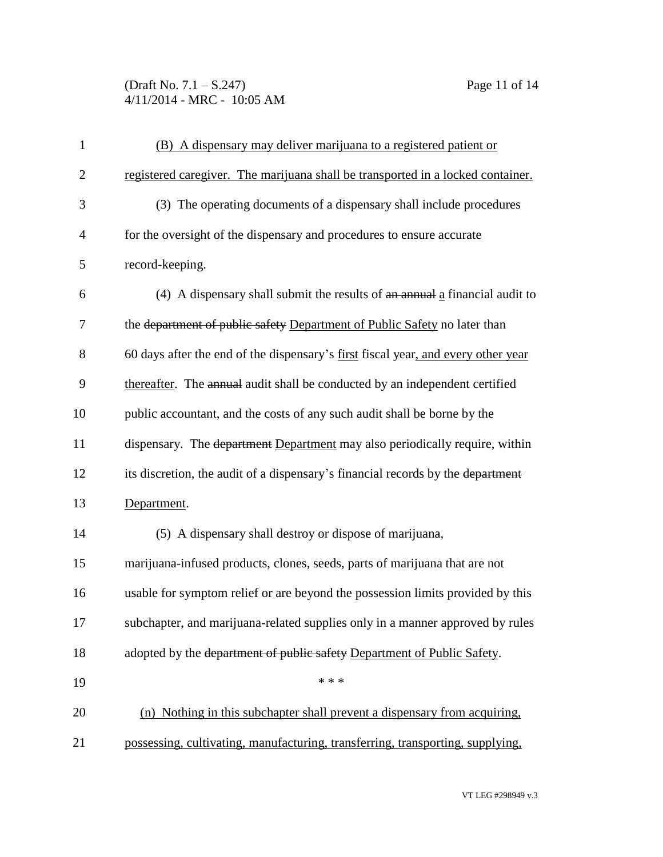(Draft No. 7.1 – S.247) Page 11 of 14 4/11/2014 - MRC - 10:05 AM

| $\mathbf{1}$   | (B) A dispensary may deliver marijuana to a registered patient or                 |
|----------------|-----------------------------------------------------------------------------------|
| $\overline{2}$ | registered caregiver. The marijuana shall be transported in a locked container.   |
| 3              | (3) The operating documents of a dispensary shall include procedures              |
| $\overline{4}$ | for the oversight of the dispensary and procedures to ensure accurate             |
| 5              | record-keeping.                                                                   |
| 6              | (4) A dispensary shall submit the results of an annual a financial audit to       |
| 7              | the department of public safety Department of Public Safety no later than         |
| 8              | 60 days after the end of the dispensary's first fiscal year, and every other year |
| 9              | thereafter. The annual audit shall be conducted by an independent certified       |
| 10             | public accountant, and the costs of any such audit shall be borne by the          |
| 11             | dispensary. The department Department may also periodically require, within       |
| 12             | its discretion, the audit of a dispensary's financial records by the department   |
| 13             | Department.                                                                       |
| 14             | (5) A dispensary shall destroy or dispose of marijuana,                           |
| 15             | marijuana-infused products, clones, seeds, parts of marijuana that are not        |
| 16             | usable for symptom relief or are beyond the possession limits provided by this    |
| 17             | subchapter, and marijuana-related supplies only in a manner approved by rules     |
| 18             | adopted by the department of public safety Department of Public Safety.           |
| 19             | * * *                                                                             |
| 20             | (n) Nothing in this subchapter shall prevent a dispensary from acquiring,         |
| 21             | possessing, cultivating, manufacturing, transferring, transporting, supplying,    |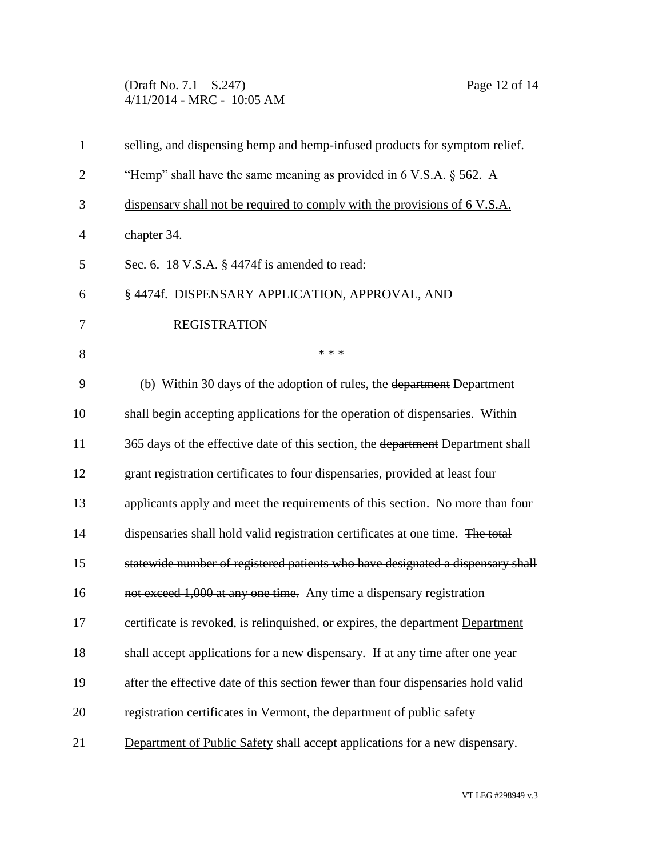(Draft No. 7.1 – S.247) Page 12 of 14 4/11/2014 - MRC - 10:05 AM

| $\mathbf{1}$   | selling, and dispensing hemp and hemp-infused products for symptom relief.       |
|----------------|----------------------------------------------------------------------------------|
| $\overline{2}$ | "Hemp" shall have the same meaning as provided in 6 V.S.A. § 562. A              |
| 3              | dispensary shall not be required to comply with the provisions of 6 V.S.A.       |
| $\overline{4}$ | chapter 34.                                                                      |
| 5              | Sec. 6. 18 V.S.A. § 4474f is amended to read:                                    |
| 6              | § 4474f. DISPENSARY APPLICATION, APPROVAL, AND                                   |
| 7              | <b>REGISTRATION</b>                                                              |
| 8              | * * *                                                                            |
| 9              | (b) Within 30 days of the adoption of rules, the department Department           |
| 10             | shall begin accepting applications for the operation of dispensaries. Within     |
| 11             | 365 days of the effective date of this section, the department Department shall  |
| 12             | grant registration certificates to four dispensaries, provided at least four     |
| 13             | applicants apply and meet the requirements of this section. No more than four    |
| 14             | dispensaries shall hold valid registration certificates at one time. The total   |
| 15             | statewide number of registered patients who have designated a dispensary shall   |
| 16             | not exceed 1,000 at any one time. Any time a dispensary registration             |
| 17             | certificate is revoked, is relinquished, or expires, the department Department   |
| 18             | shall accept applications for a new dispensary. If at any time after one year    |
| 19             | after the effective date of this section fewer than four dispensaries hold valid |
| 20             | registration certificates in Vermont, the department of public safety            |
| 21             | Department of Public Safety shall accept applications for a new dispensary.      |
|                |                                                                                  |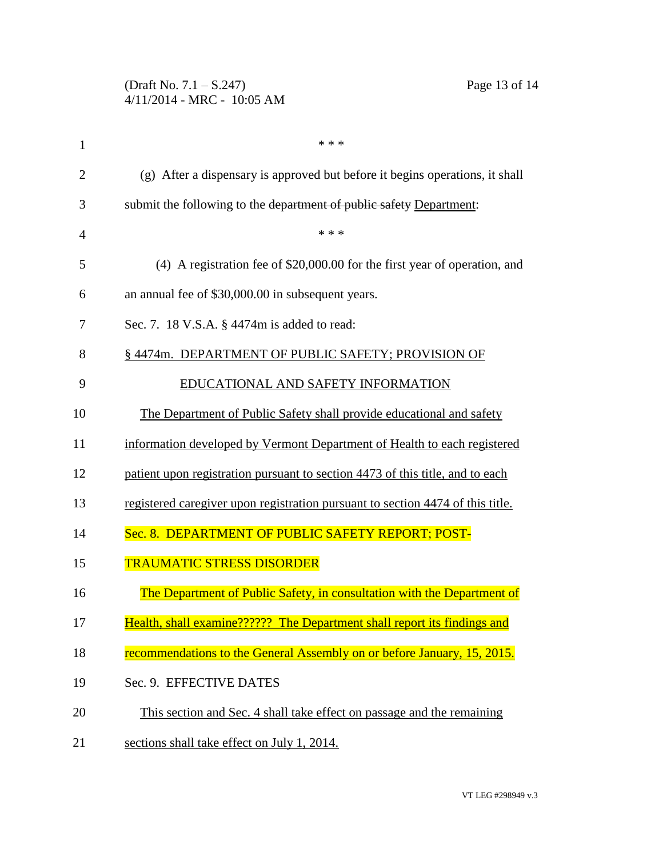| (Draft No. $7.1 - S.247$ )   |  |  |  |  |
|------------------------------|--|--|--|--|
| $4/11/2014$ - MRC - 10:05 AM |  |  |  |  |

| $\mathbf{1}$   | * * *                                                                          |  |  |
|----------------|--------------------------------------------------------------------------------|--|--|
| $\overline{2}$ | (g) After a dispensary is approved but before it begins operations, it shall   |  |  |
| 3              | submit the following to the department of public safety Department:            |  |  |
| 4              | * * *                                                                          |  |  |
| 5              | (4) A registration fee of \$20,000.00 for the first year of operation, and     |  |  |
| 6              | an annual fee of \$30,000.00 in subsequent years.                              |  |  |
| 7              | Sec. 7. 18 V.S.A. § 4474m is added to read:                                    |  |  |
| 8              | § 4474m. DEPARTMENT OF PUBLIC SAFETY; PROVISION OF                             |  |  |
| 9              | EDUCATIONAL AND SAFETY INFORMATION                                             |  |  |
| 10             | The Department of Public Safety shall provide educational and safety           |  |  |
| 11             | information developed by Vermont Department of Health to each registered       |  |  |
| 12             | patient upon registration pursuant to section 4473 of this title, and to each  |  |  |
| 13             | registered caregiver upon registration pursuant to section 4474 of this title. |  |  |
| 14             | Sec. 8. DEPARTMENT OF PUBLIC SAFETY REPORT; POST-                              |  |  |
| 15             | <b>TRAUMATIC STRESS DISORDER</b>                                               |  |  |
| 16             | The Department of Public Safety, in consultation with the Department of        |  |  |
| 17             | Health, shall examine?????? The Department shall report its findings and       |  |  |
| 18             | recommendations to the General Assembly on or before January, 15, 2015.        |  |  |
| 19             | Sec. 9. EFFECTIVE DATES                                                        |  |  |
| 20             | This section and Sec. 4 shall take effect on passage and the remaining         |  |  |
| 21             | sections shall take effect on July 1, 2014.                                    |  |  |